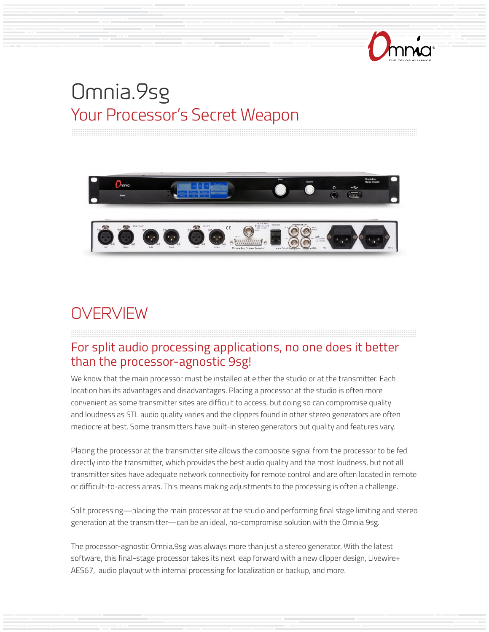

# Omnia.9sg Your Processor's Secret Weapon



# **OVERVIEW**

#### For split audio processing applications, no one does it better than the processor-agnostic 9sg!

We know that the main processor must be installed at either the studio or at the transmitter. Each location has its advantages and disadvantages. Placing a processor at the studio is often more convenient as some transmitter sites are difficult to access, but doing so can compromise quality and loudness as STL audio quality varies and the clippers found in other stereo generators are often mediocre at best. Some transmitters have built-in stereo generators but quality and features vary.

Placing the processor at the transmitter site allows the composite signal from the processor to be fed directly into the transmitter, which provides the best audio quality and the most loudness, but not all transmitter sites have adequate network connectivity for remote control and are often located in remote or difficult-to-access areas. This means making adjustments to the processing is often a challenge.

Split processing—placing the main processor at the studio and performing final stage limiting and stereo generation at the transmitter—can be an ideal, no-compromise solution with the Omnia 9sg.

The processor-agnostic Omnia.9sg was always more than just a stereo generator. With the latest software, this final-stage processor takes its next leap forward with a new clipper design, Livewire+ AES67, audio playout with internal processing for localization or backup, and more.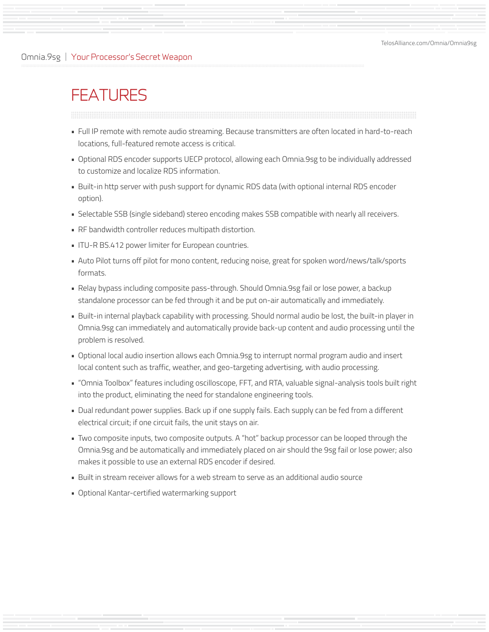#### Omnia.9sg | Your Processor's Secret Weapon

## **FEATURES**

- Full IP remote with remote audio streaming. Because transmitters are often located in hard-to-reach locations, full-featured remote access is critical.
- Optional RDS encoder supports UECP protocol, allowing each Omnia.9sg to be individually addressed to customize and localize RDS information.
- Built-in http server with push support for dynamic RDS data (with optional internal RDS encoder option).
- Selectable SSB (single sideband) stereo encoding makes SSB compatible with nearly all receivers.
- RF bandwidth controller reduces multipath distortion.
- ITU-R BS.412 power limiter for European countries.
- Auto Pilot turns off pilot for mono content, reducing noise, great for spoken word/news/talk/sports formats.
- Relay bypass including composite pass-through. Should Omnia.9sg fail or lose power, a backup standalone processor can be fed through it and be put on-air automatically and immediately.
- Built-in internal playback capability with processing. Should normal audio be lost, the built-in player in Omnia.9sg can immediately and automatically provide back-up content and audio processing until the problem is resolved.
- Optional local audio insertion allows each Omnia.9sg to interrupt normal program audio and insert local content such as traffic, weather, and geo-targeting advertising, with audio processing.
- "Omnia Toolbox" features including oscilloscope, FFT, and RTA, valuable signal-analysis tools built right into the product, eliminating the need for standalone engineering tools.
- Dual redundant power supplies. Back up if one supply fails. Each supply can be fed from a different electrical circuit; if one circuit fails, the unit stays on air.
- Two composite inputs, two composite outputs. A "hot" backup processor can be looped through the Omnia.9sg and be automatically and immediately placed on air should the 9sg fail or lose power; also makes it possible to use an external RDS encoder if desired.
- Built in stream receiver allows for a web stream to serve as an additional audio source
- Optional Kantar-certified watermarking support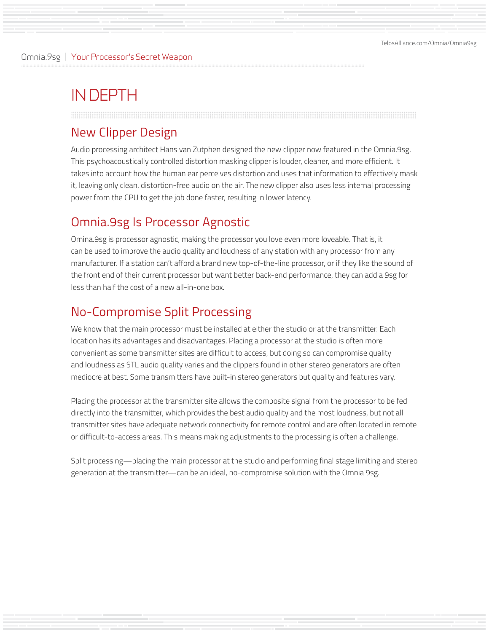## IN DEPTH

#### New Clipper Design

Audio processing architect Hans van Zutphen designed the new clipper now featured in the Omnia.9sg. This psychoacoustically controlled distortion masking clipper is louder, cleaner, and more efficient. It takes into account how the human ear perceives distortion and uses that information to effectively mask it, leaving only clean, distortion-free audio on the air. The new clipper also uses less internal processing power from the CPU to get the job done faster, resulting in lower latency.

#### Omnia.9sg Is Processor Agnostic

Omina.9sg is processor agnostic, making the processor you love even more loveable. That is, it can be used to improve the audio quality and loudness of any station with any processor from any manufacturer. If a station can't afford a brand new top-of-the-line processor, or if they like the sound of the front end of their current processor but want better back-end performance, they can add a 9sg for less than half the cost of a new all-in-one box.

#### No-Compromise Split Processing

We know that the main processor must be installed at either the studio or at the transmitter. Each location has its advantages and disadvantages. Placing a processor at the studio is often more convenient as some transmitter sites are difficult to access, but doing so can compromise quality and loudness as STL audio quality varies and the clippers found in other stereo generators are often mediocre at best. Some transmitters have built-in stereo generators but quality and features vary.

Placing the processor at the transmitter site allows the composite signal from the processor to be fed directly into the transmitter, which provides the best audio quality and the most loudness, but not all transmitter sites have adequate network connectivity for remote control and are often located in remote or difficult-to-access areas. This means making adjustments to the processing is often a challenge.

Split processing—placing the main processor at the studio and performing final stage limiting and stereo generation at the transmitter—can be an ideal, no-compromise solution with the Omnia 9sg.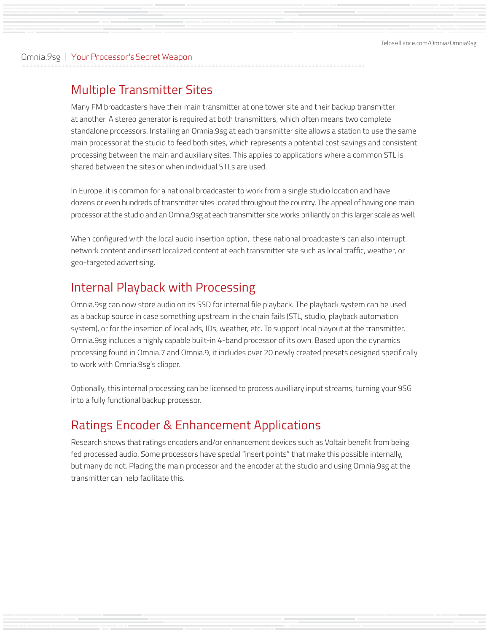[TelosAlliance.com/Omnia/Omnia9sg](https://www.telosalliance.com/Omnia/Omnia9sg)

#### Omnia.9sg | Your Processor's Secret Weapon

#### Multiple Transmitter Sites

Many FM broadcasters have their main transmitter at one tower site and their backup transmitter at another. A stereo generator is required at both transmitters, which often means two complete standalone processors. Installing an Omnia.9sg at each transmitter site allows a station to use the same main processor at the studio to feed both sites, which represents a potential cost savings and consistent processing between the main and auxiliary sites. This applies to applications where a common STL is shared between the sites or when individual STLs are used.

In Europe, it is common for a national broadcaster to work from a single studio location and have dozens or even hundreds of transmitter sites located throughout the country. The appeal of having one main processor at the studio and an Omnia.9sg at each transmitter site works brilliantly on this larger scale as well.

When configured with the local audio insertion option, these national broadcasters can also interrupt network content and insert localized content at each transmitter site such as local traffic, weather, or geo-targeted advertising.

#### Internal Playback with Processing

Omnia.9sg can now store audio on its SSD for internal file playback. The playback system can be used as a backup source in case something upstream in the chain fails (STL, studio, playback automation system), or for the insertion of local ads, IDs, weather, etc. To support local playout at the transmitter, Omnia.9sg includes a highly capable built-in 4-band processor of its own. Based upon the dynamics processing found in Omnia.7 and Omnia.9, it includes over 20 newly created presets designed specifically to work with Omnia.9sg's clipper.

Optionally, this internal processing can be licensed to process auxilliary input streams, turning your 9SG into a fully functional backup processor.

### Ratings Encoder & Enhancement Applications

Research shows that ratings encoders and/or enhancement devices such as Voltair benefit from being fed processed audio. Some processors have special "insert points" that make this possible internally, but many do not. Placing the main processor and the encoder at the studio and using Omnia.9sg at the transmitter can help facilitate this.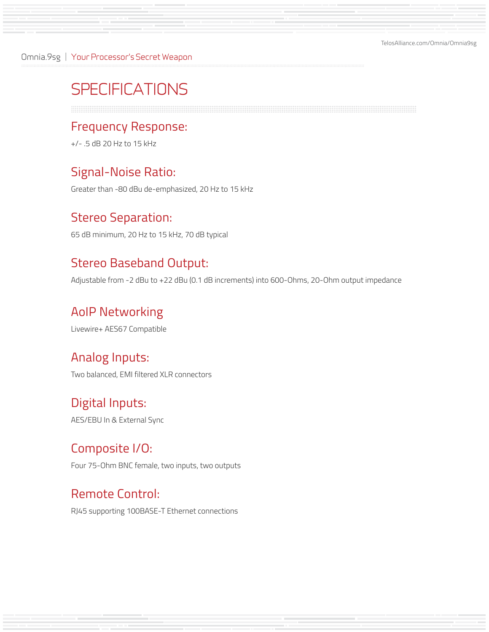Omnia.9sg | Your Processor's Secret Weapon

# **SPECIFICATIONS**

#### Frequency Response:

+/- .5 dB 20 Hz to 15 kHz

#### Signal-Noise Ratio:

Greater than -80 dBu de-emphasized, 20 Hz to 15 kHz

#### Stereo Separation:

65 dB minimum, 20 Hz to 15 kHz, 70 dB typical

### Stereo Baseband Output:

Adjustable from -2 dBu to +22 dBu (0.1 dB increments) into 600-Ohms, 20-Ohm output impedance

#### AoIP Networking

Livewire+ AES67 Compatible

#### Analog Inputs:

Two balanced, EMI filtered XLR connectors

### Digital Inputs:

AES/EBU In & External Sync

#### Composite I/O:

Four 75-Ohm BNC female, two inputs, two outputs

#### Remote Control:

RJ45 supporting 100BASE-T Ethernet connections